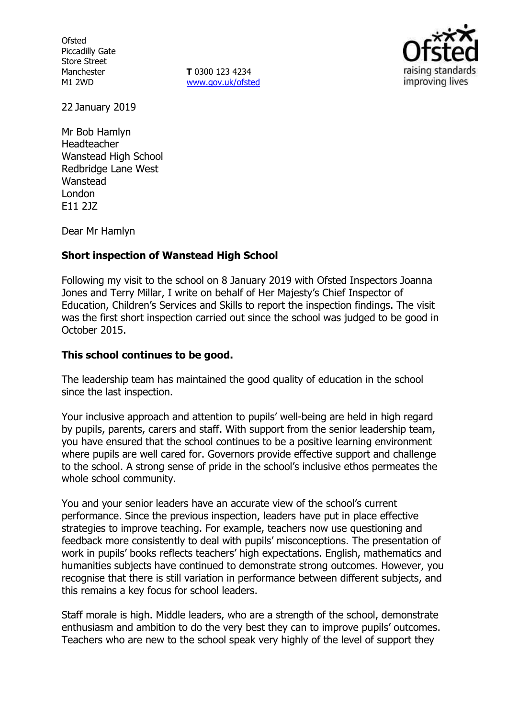**Ofsted** Piccadilly Gate Store Street Manchester M1 2WD

**T** 0300 123 4234 www.gov.uk/ofsted



22 January 2019

Mr Bob Hamlyn Headteacher Wanstead High School Redbridge Lane West Wanstead London E11 2JZ

Dear Mr Hamlyn

### **Short inspection of Wanstead High School**

Following my visit to the school on 8 January 2019 with Ofsted Inspectors Joanna Jones and Terry Millar, I write on behalf of Her Majesty's Chief Inspector of Education, Children's Services and Skills to report the inspection findings. The visit was the first short inspection carried out since the school was judged to be good in October 2015.

### **This school continues to be good.**

The leadership team has maintained the good quality of education in the school since the last inspection.

Your inclusive approach and attention to pupils' well-being are held in high regard by pupils, parents, carers and staff. With support from the senior leadership team, you have ensured that the school continues to be a positive learning environment where pupils are well cared for. Governors provide effective support and challenge to the school. A strong sense of pride in the school's inclusive ethos permeates the whole school community.

You and your senior leaders have an accurate view of the school's current performance. Since the previous inspection, leaders have put in place effective strategies to improve teaching. For example, teachers now use questioning and feedback more consistently to deal with pupils' misconceptions. The presentation of work in pupils' books reflects teachers' high expectations. English, mathematics and humanities subjects have continued to demonstrate strong outcomes. However, you recognise that there is still variation in performance between different subjects, and this remains a key focus for school leaders.

Staff morale is high. Middle leaders, who are a strength of the school, demonstrate enthusiasm and ambition to do the very best they can to improve pupils' outcomes. Teachers who are new to the school speak very highly of the level of support they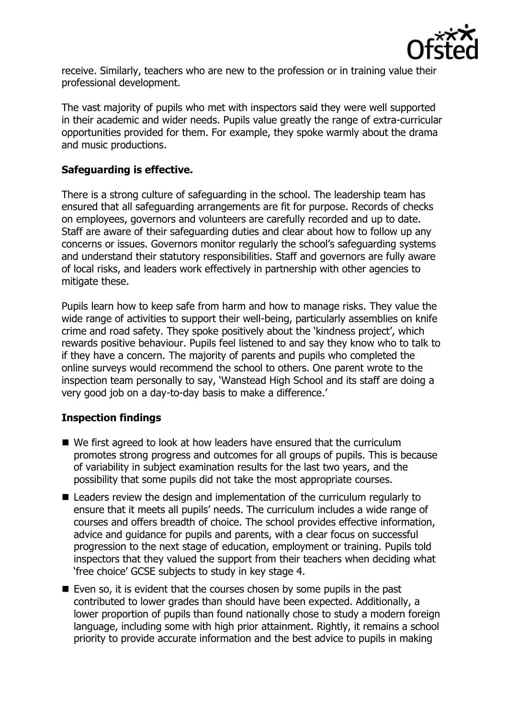

receive. Similarly, teachers who are new to the profession or in training value their professional development.

The vast majority of pupils who met with inspectors said they were well supported in their academic and wider needs. Pupils value greatly the range of extra-curricular opportunities provided for them. For example, they spoke warmly about the drama and music productions.

## **Safeguarding is effective.**

There is a strong culture of safeguarding in the school. The leadership team has ensured that all safeguarding arrangements are fit for purpose. Records of checks on employees, governors and volunteers are carefully recorded and up to date. Staff are aware of their safeguarding duties and clear about how to follow up any concerns or issues. Governors monitor regularly the school's safeguarding systems and understand their statutory responsibilities. Staff and governors are fully aware of local risks, and leaders work effectively in partnership with other agencies to mitigate these.

Pupils learn how to keep safe from harm and how to manage risks. They value the wide range of activities to support their well-being, particularly assemblies on knife crime and road safety. They spoke positively about the 'kindness project', which rewards positive behaviour. Pupils feel listened to and say they know who to talk to if they have a concern. The majority of parents and pupils who completed the online surveys would recommend the school to others. One parent wrote to the inspection team personally to say, 'Wanstead High School and its staff are doing a very good job on a day-to-day basis to make a difference.'

# **Inspection findings**

- We first agreed to look at how leaders have ensured that the curriculum promotes strong progress and outcomes for all groups of pupils. This is because of variability in subject examination results for the last two years, and the possibility that some pupils did not take the most appropriate courses.
- Leaders review the design and implementation of the curriculum regularly to ensure that it meets all pupils' needs. The curriculum includes a wide range of courses and offers breadth of choice. The school provides effective information, advice and guidance for pupils and parents, with a clear focus on successful progression to the next stage of education, employment or training. Pupils told inspectors that they valued the support from their teachers when deciding what 'free choice' GCSE subjects to study in key stage 4.
- $\blacksquare$  Even so, it is evident that the courses chosen by some pupils in the past contributed to lower grades than should have been expected. Additionally, a lower proportion of pupils than found nationally chose to study a modern foreign language, including some with high prior attainment. Rightly, it remains a school priority to provide accurate information and the best advice to pupils in making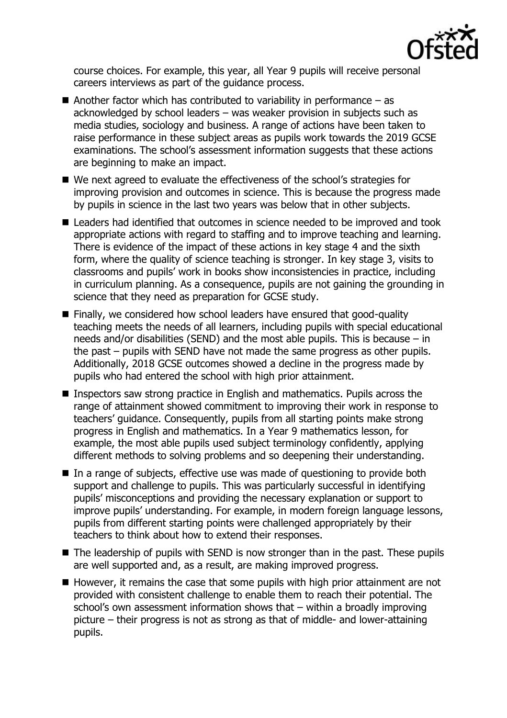

course choices. For example, this year, all Year 9 pupils will receive personal careers interviews as part of the guidance process.

- Another factor which has contributed to variability in performance  $-$  as acknowledged by school leaders – was weaker provision in subjects such as media studies, sociology and business. A range of actions have been taken to raise performance in these subject areas as pupils work towards the 2019 GCSE examinations. The school's assessment information suggests that these actions are beginning to make an impact.
- We next agreed to evaluate the effectiveness of the school's strategies for improving provision and outcomes in science. This is because the progress made by pupils in science in the last two years was below that in other subjects.
- Leaders had identified that outcomes in science needed to be improved and took appropriate actions with regard to staffing and to improve teaching and learning. There is evidence of the impact of these actions in key stage 4 and the sixth form, where the quality of science teaching is stronger. In key stage 3, visits to classrooms and pupils' work in books show inconsistencies in practice, including in curriculum planning. As a consequence, pupils are not gaining the grounding in science that they need as preparation for GCSE study.
- Finally, we considered how school leaders have ensured that good-quality teaching meets the needs of all learners, including pupils with special educational needs and/or disabilities (SEND) and the most able pupils. This is because – in the past – pupils with SEND have not made the same progress as other pupils. Additionally, 2018 GCSE outcomes showed a decline in the progress made by pupils who had entered the school with high prior attainment.
- **Inspectors saw strong practice in English and mathematics. Pupils across the** range of attainment showed commitment to improving their work in response to teachers' guidance. Consequently, pupils from all starting points make strong progress in English and mathematics. In a Year 9 mathematics lesson, for example, the most able pupils used subject terminology confidently, applying different methods to solving problems and so deepening their understanding.
- $\blacksquare$  In a range of subjects, effective use was made of questioning to provide both support and challenge to pupils. This was particularly successful in identifying pupils' misconceptions and providing the necessary explanation or support to improve pupils' understanding. For example, in modern foreign language lessons, pupils from different starting points were challenged appropriately by their teachers to think about how to extend their responses.
- $\blacksquare$  The leadership of pupils with SEND is now stronger than in the past. These pupils are well supported and, as a result, are making improved progress.
- $\blacksquare$  However, it remains the case that some pupils with high prior attainment are not provided with consistent challenge to enable them to reach their potential. The school's own assessment information shows that – within a broadly improving picture – their progress is not as strong as that of middle- and lower-attaining pupils.